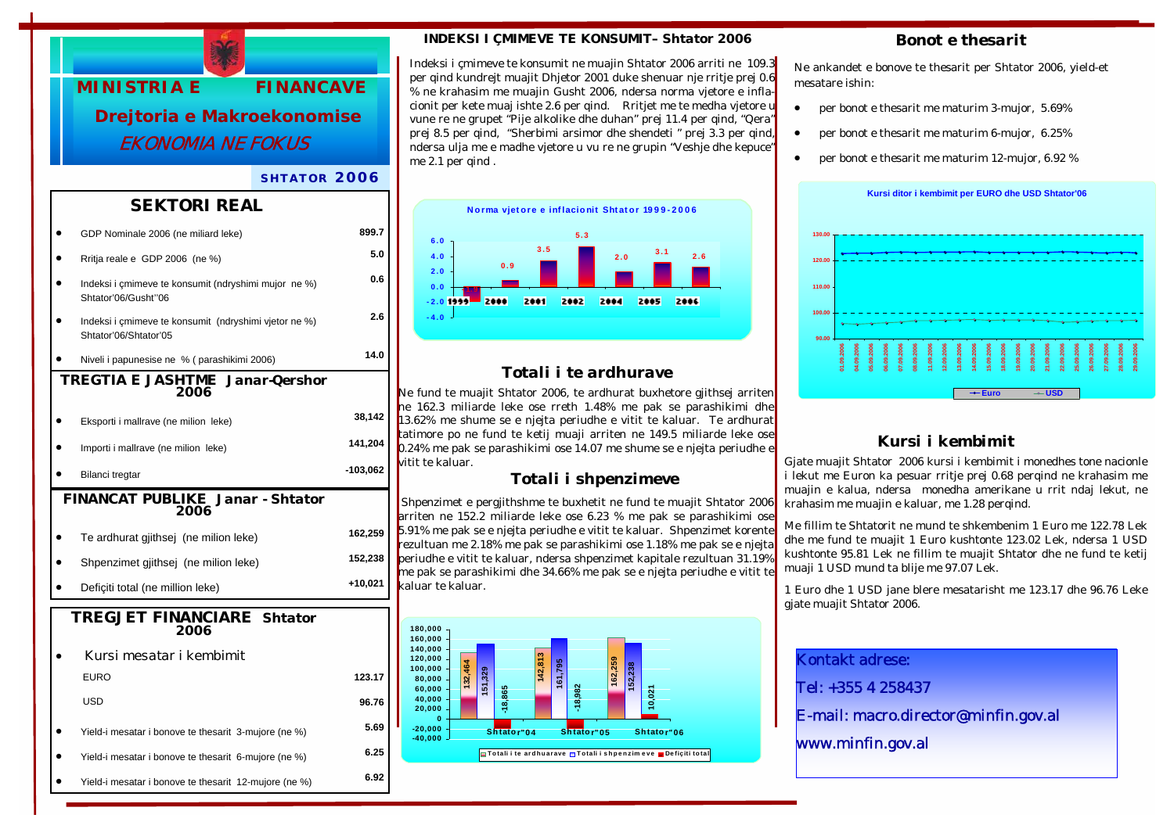

### *SHTATOR 2006*

### *SEKTORI REAL*

|                                                | GDP Nominale 2006 (ne miliard leke)                                            | 899.7      |  |  |
|------------------------------------------------|--------------------------------------------------------------------------------|------------|--|--|
|                                                | Rritja reale e GDP 2006 (ne %)                                                 | 5.0        |  |  |
|                                                | Indeksi i çmimeve te konsumit (ndryshimi mujor ne %)<br>Shtator'06/Gusht"06    | 0.6        |  |  |
|                                                | Indeksi i çmimeve te konsumit (ndryshimi vjetor ne %)<br>Shtator'06/Shtator'05 | 2.6        |  |  |
|                                                | Niveli i papunesise ne % (parashikimi 2006)                                    | 14.0       |  |  |
| <b>TREGTIA E JASHTME Janar-Qershor</b><br>2006 |                                                                                |            |  |  |
|                                                | Eksporti i mallrave (ne milion leke)                                           | 38,142     |  |  |
|                                                | Importi i mallrave (ne milion leke)                                            | 141,204    |  |  |
|                                                | Bilanci tregtar                                                                | $-103,062$ |  |  |
| FINANCAT PUBLIKE Janar - Shtator<br>2006       |                                                                                |            |  |  |
|                                                | Te ardhurat gjithsej (ne milion leke)                                          | 162,259    |  |  |
|                                                | Shpenzimet gjithsej (ne milion leke)                                           | 152,238    |  |  |
|                                                | Deficiti total (ne million leke)                                               | +10,021    |  |  |
| <b>TREGJET FINANCIARE Shtator</b><br>2006      |                                                                                |            |  |  |
|                                                | Kursi mesatar i kembimit                                                       |            |  |  |
|                                                | <b>EURO</b>                                                                    | 123.17     |  |  |
|                                                |                                                                                |            |  |  |
|                                                | <b>USD</b>                                                                     | 96.76      |  |  |
|                                                | Yield-i mesatar i bonove te thesarit 3-mujore (ne %)                           | 5.69       |  |  |
|                                                | Yield-i mesatar i bonove te thesarit 6-mujore (ne %)                           | 6.25       |  |  |

### *INDEKSI I ÇMIMEVE TE KONSUMIT– Shtator 2006*

Indeksi i çmimeve te konsumit ne muajin Shtator 2006 arriti ne 109.3 per qind kundrejt muajit Dhjetor 2001 duke shenuar nje rritje prej 0.6 % ne krahasim me muajin Gusht 2006, ndersa norma vjetore e inflacionit per kete muaj ishte 2.6 per qind. Rritjet me te medha vjetore u vune re ne grupet "Pije alkolike dhe duhan" prej 11.4 per qind, "Qera" prej 8.5 per qind, "Sherbimi arsimor dhe shendeti " prej 3.3 per qind, ndersa ulja me e madhe vjetore u vu re ne grupin "Veshje dhe kepuce" me 2.1 per qind.



## *Totali i te ardhurave*

Ne fund te muajit Shtator 2006, te ardhurat buxhetore gjithsej arriten ne 162.3 miliarde leke ose rreth 1.48% me pak se parashikimi dhe 13.62% me shume se e njejta periudhe e vitit te kaluar. Te ardhurat tatimore po ne fund te ketij muaji arriten ne 149.5 miliarde leke ose 0.24% me pak se parashikimi ose 14.07 me shume se e njejta periudhe e vitit te kaluar.

### *Totali i shpenzimeve*

 Shpenzimet e pergjithshme te buxhetit ne fund te muajit Shtator 2006 arriten ne 152.2 miliarde leke ose 6.23 % me pak se parashikimi ose 5.91% me pak se e njejta periudhe e vitit te kaluar. Shpenzimet korente rezultuan me 2.18% me pak se parashikimi ose 1.18% me pak se e njejta periudhe e vitit te kaluar, ndersa shpenzimet kapitale rezultuan 31.19% me pak se parashikimi dhe 34.66% me pak se e njejta periudhe e vitit te kaluar te kaluar.



### *Bonot e thesarit*

Ne ankandet e bonove te thesarit per Shtator 2006, yield-et mesatare ishin:

- per bonot e thesarit me maturim 3-mujor, 5.69%
- per bonot e thesarit me maturim 6-mujor, 6.25%
- per bonot e thesarit me maturim 12-mujor, 6.92 %



# *Kursi i kembimit*

Gjate muajit Shtator 2006 kursi i kembimit i monedhes tone nacionle i lekut me Euron ka pesuar rritje prej 0.68 perqind ne krahasim me muajin e kalua, ndersa monedha amerikane u rrit ndaj lekut, ne krahasim me muajin e kaluar, me 1.28 perqind.

Me fillim te Shtatorit ne mund te shkembenim 1 Euro me 122.78 Lek dhe me fund te muajit 1 Euro kushtonte 123.02 Lek, ndersa 1 USD kushtonte 95.81 Lek ne fillim te muajit Shtator dhe ne fund te ketij muaji 1 USD mund ta blije me 97.07 Lek.

1 Euro dhe 1 USD jane blere mesatarisht me 123.17 dhe 96.76 Leke gjate muajit Shtator 2006.

Kontakt adrese:

Tel: +355 4 258437

E-mail: macro.director@minfin.gov.al

www.minfin.gov.al